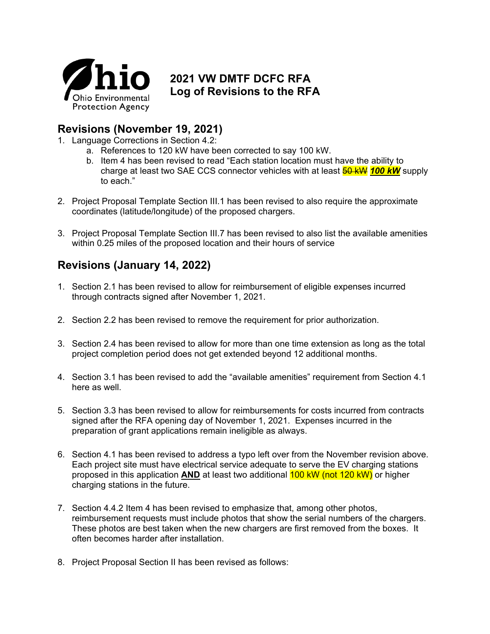

## **2021 VW DMTF DCFC RFA Log of Revisions to the RFA**

## **Revisions (November 19, 2021)**

- 1. Language Corrections in Section 4.2:
	- a. References to 120 kW have been corrected to say 100 kW.
	- b. Item 4 has been revised to read "Each station location must have the ability to charge at least two SAE CCS connector vehicles with at least 50 kW *100 kW* supply to each."
- 2. Project Proposal Template Section III.1 has been revised to also require the approximate coordinates (latitude/longitude) of the proposed chargers.
- 3. Project Proposal Template Section III.7 has been revised to also list the available amenities within 0.25 miles of the proposed location and their hours of service

## **Revisions (January 14, 2022)**

- 1. Section 2.1 has been revised to allow for reimbursement of eligible expenses incurred through contracts signed after November 1, 2021.
- 2. Section 2.2 has been revised to remove the requirement for prior authorization.
- 3. Section 2.4 has been revised to allow for more than one time extension as long as the total project completion period does not get extended beyond 12 additional months.
- 4. Section 3.1 has been revised to add the "available amenities" requirement from Section 4.1 here as well.
- 5. Section 3.3 has been revised to allow for reimbursements for costs incurred from contracts signed after the RFA opening day of November 1, 2021. Expenses incurred in the preparation of grant applications remain ineligible as always.
- 6. Section 4.1 has been revised to address a typo left over from the November revision above. Each project site must have electrical service adequate to serve the EV charging stations proposed in this application **AND** at least two additional 100 kW (not 120 kW) or higher charging stations in the future.
- 7. Section 4.4.2 Item 4 has been revised to emphasize that, among other photos, reimbursement requests must include photos that show the serial numbers of the chargers. These photos are best taken when the new chargers are first removed from the boxes. It often becomes harder after installation.
- 8. Project Proposal Section II has been revised as follows: